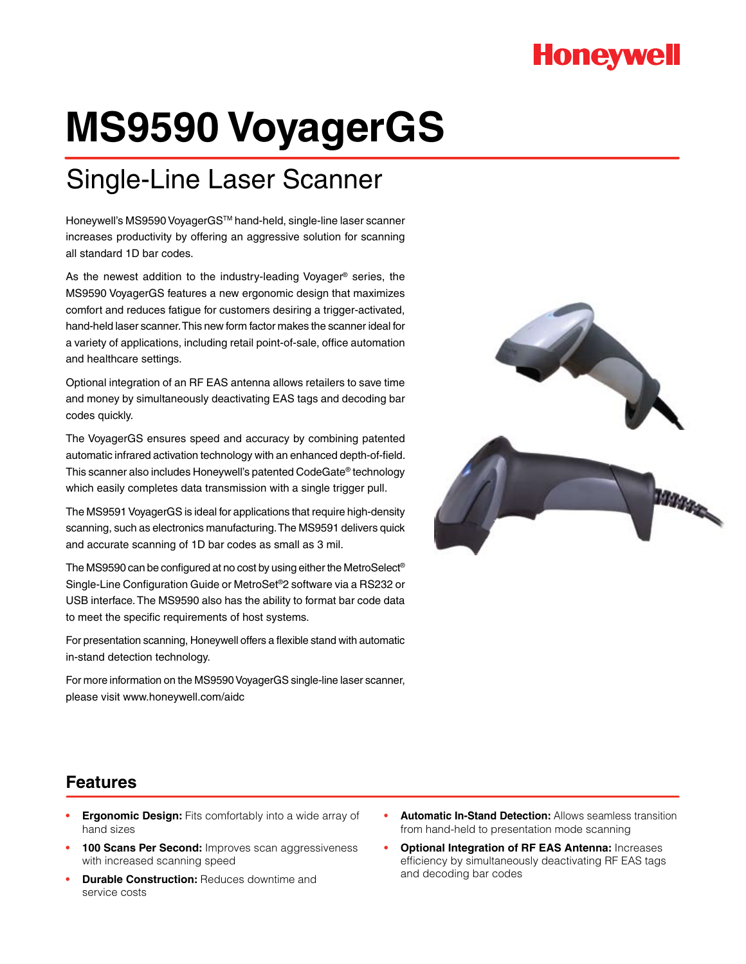## **Honeywell**

# **MS9590 VoyagerGS**

## Single-Line Laser Scanner

Honeywell's MS9590 VoyagerGSTM hand-held, single-line laser scanner increases productivity by offering an aggressive solution for scanning all standard 1D bar codes.

As the newest addition to the industry-leading Voyager® series, the MS9590 VoyagerGS features a new ergonomic design that maximizes comfort and reduces fatigue for customers desiring a trigger-activated, hand-held laser scanner. This new form factor makes the scanner ideal for a variety of applications, including retail point-of-sale, office automation and healthcare settings.

Optional integration of an RF EAS antenna allows retailers to save time and money by simultaneously deactivating EAS tags and decoding bar codes quickly.

The VoyagerGS ensures speed and accuracy by combining patented automatic infrared activation technology with an enhanced depth-of-field. This scanner also includes Honeywell's patented CodeGate® technology which easily completes data transmission with a single trigger pull.

The MS9591 VoyagerGS is ideal for applications that require high-density scanning, such as electronics manufacturing. The MS9591 delivers quick and accurate scanning of 1D bar codes as small as 3 mil.

The MS9590 can be configured at no cost by using either the MetroSelect® Single-Line Configuration Guide or MetroSet®2 software via a RS232 or USB interface. The MS9590 also has the ability to format bar code data to meet the specific requirements of host systems.

For presentation scanning, Honeywell offers a flexible stand with automatic in-stand detection technology.

For more information on the MS9590 VoyagerGS single-line laser scanner, please visit www.honeywell.com/aidc



### **Features**

- **Ergonomic Design:** Fits comfortably into a wide array of hand sizes
- **100 Scans Per Second:** Improves scan aggressiveness with increased scanning speed
- **Durable Construction: Reduces downtime and** service costs
- **Automatic In-Stand Detection: Allows seamless transition** from hand-held to presentation mode scanning
- **Optional Integration of RF EAS Antenna: Increases** efficiency by simultaneously deactivating RF EAS tags and decoding bar codes